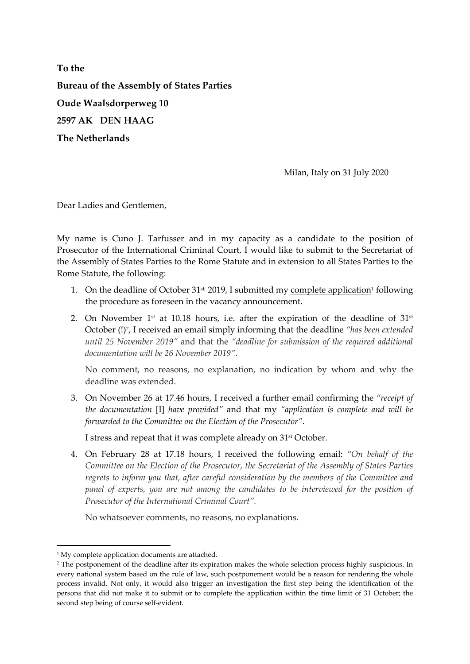To the Bureau of the Assembly of States Parties Oude Waalsdorperweg 10 2597 AK DEN HAAG The Netherlands

Milan, Italy on 31 July 2020

Dear Ladies and Gentlemen,

My name is Cuno J. Tarfusser and in my capacity as a candidate to the position of Prosecutor of the International Criminal Court, I would like to submit to the Secretariat of the Assembly of States Parties to the Rome Statute and in extension to all States Parties to the Rome Statute, the following:

- 1. On the deadline of October  $31^{st}$ , 2019, I submitted my complete application<sup>1</sup> following the procedure as foreseen in the vacancy announcement.
- 2. On November  $1<sup>st</sup>$  at 10.18 hours, i.e. after the expiration of the deadline of  $31<sup>st</sup>$ October (!)<sup>2</sup>, I received an email simply informing that the deadline "has been extended until 25 November 2019" and that the "deadline for submission of the required additional documentation will be 26 November 2019".

No comment, no reasons, no explanation, no indication by whom and why the deadline was extended.

3. On November 26 at 17.46 hours, I received a further email confirming the "receipt of the documentation [I] have provided" and that my "application is complete and will be forwarded to the Committee on the Election of the Prosecutor".

I stress and repeat that it was complete already on 31st October.

4. On February 28 at 17.18 hours, I received the following email: "On behalf of the Committee on the Election of the Prosecutor, the Secretariat of the Assembly of States Parties regrets to inform you that, after careful consideration by the members of the Committee and panel of experts, you are not among the candidates to be interviewed for the position of Prosecutor of the International Criminal Court".

No whatsoever comments, no reasons, no explanations.

-

<sup>&</sup>lt;sup>1</sup> My complete application documents are attached.

<sup>2</sup> The postponement of the deadline after its expiration makes the whole selection process highly suspicious. In every national system based on the rule of law, such postponement would be a reason for rendering the whole process invalid. Not only, it would also trigger an investigation the first step being the identification of the persons that did not make it to submit or to complete the application within the time limit of 31 October; the second step being of course self-evident.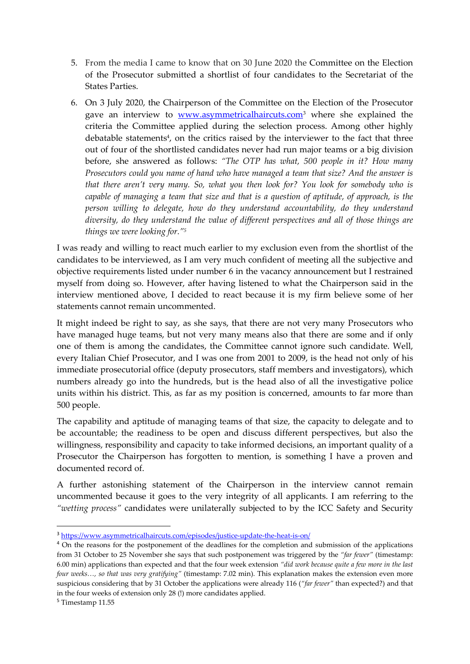- 5. From the media I came to know that on 30 June 2020 the Committee on the Election of the Prosecutor submitted a shortlist of four candidates to the Secretariat of the States Parties.
- 6. On 3 July 2020, the Chairperson of the Committee on the Election of the Prosecutor gave an interview to **www.asymmetricalhaircuts.com**<sup>3</sup> where she explained the criteria the Committee applied during the selection process. Among other highly debatable statements<sup>4</sup>, on the critics raised by the interviewer to the fact that three out of four of the shortlisted candidates never had run major teams or a big division before, she answered as follows: "The OTP has what, 500 people in it? How many Prosecutors could you name of hand who have managed a team that size? And the answer is that there aren't very many. So, what you then look for? You look for somebody who is capable of managing a team that size and that is a question of aptitude, of approach, is the person willing to delegate, how do they understand accountability, do they understand diversity, do they understand the value of different perspectives and all of those things are things we were looking for."<sup>5</sup>

I was ready and willing to react much earlier to my exclusion even from the shortlist of the candidates to be interviewed, as I am very much confident of meeting all the subjective and objective requirements listed under number 6 in the vacancy announcement but I restrained myself from doing so. However, after having listened to what the Chairperson said in the interview mentioned above, I decided to react because it is my firm believe some of her statements cannot remain uncommented.

It might indeed be right to say, as she says, that there are not very many Prosecutors who have managed huge teams, but not very many means also that there are some and if only one of them is among the candidates, the Committee cannot ignore such candidate. Well, every Italian Chief Prosecutor, and I was one from 2001 to 2009, is the head not only of his immediate prosecutorial office (deputy prosecutors, staff members and investigators), which numbers already go into the hundreds, but is the head also of all the investigative police units within his district. This, as far as my position is concerned, amounts to far more than 500 people.

The capability and aptitude of managing teams of that size, the capacity to delegate and to be accountable; the readiness to be open and discuss different perspectives, but also the willingness, responsibility and capacity to take informed decisions, an important quality of a Prosecutor the Chairperson has forgotten to mention, is something I have a proven and documented record of.

A further astonishing statement of the Chairperson in the interview cannot remain uncommented because it goes to the very integrity of all applicants. I am referring to the "wetting process" candidates were unilaterally subjected to by the ICC Safety and Security

<sup>5</sup> Timestamp 11.55

-

<sup>3</sup> https://www.asymmetricalhaircuts.com/episodes/justice-update-the-heat-is-on/

<sup>&</sup>lt;sup>4</sup> On the reasons for the postponement of the deadlines for the completion and submission of the applications from 31 October to 25 November she says that such postponement was triggered by the "far fewer" (timestamp: 6.00 min) applications than expected and that the four week extension "did work because quite a few more in the last four weeks…, so that was very gratifying" (timestamp: 7.02 min). This explanation makes the extension even more suspicious considering that by 31 October the applications were already 116 ("far fewer" than expected?) and that in the four weeks of extension only 28 (!) more candidates applied.